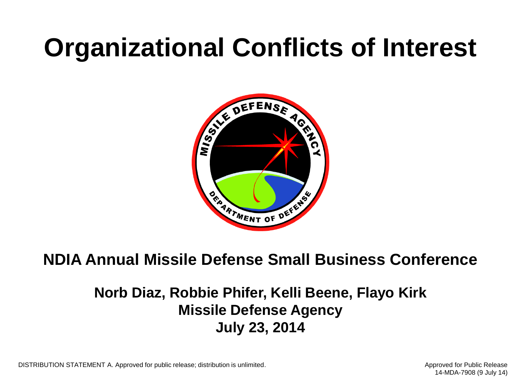## **Organizational Conflicts of Interest**



#### **NDIA Annual Missile Defense Small Business Conference**

#### **Norb Diaz, Robbie Phifer, Kelli Beene, Flayo Kirk Missile Defense Agency July 23, 2014**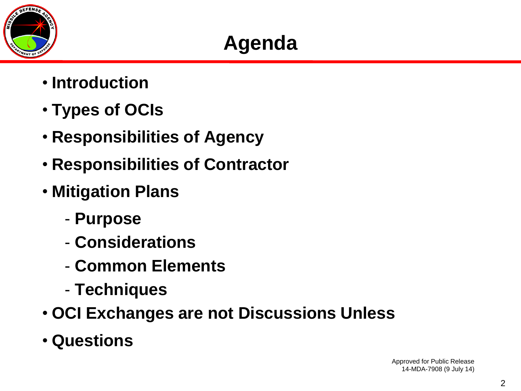

## **Agenda**

- **Introduction**
- **Types of OCIs**
- **Responsibilities of Agency**
- **Responsibilities of Contractor**
- **Mitigation Plans**
	- **Purpose**
	- **Considerations**
	- **Common Elements**
	- **Techniques**
- **OCI Exchanges are not Discussions Unless**
- **Questions**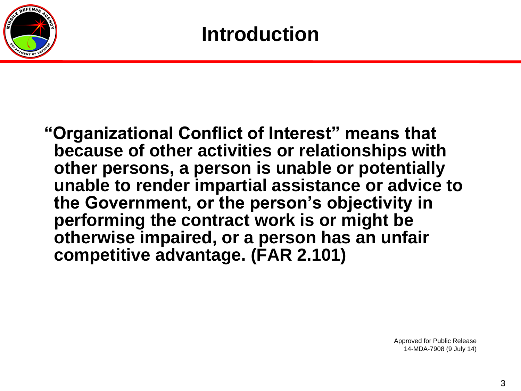

**"Organizational Conflict of Interest" means that because of other activities or relationships with other persons, a person is unable or potentially unable to render impartial assistance or advice to the Government, or the person's objectivity in performing the contract work is or might be otherwise impaired, or a person has an unfair competitive advantage. (FAR 2.101)**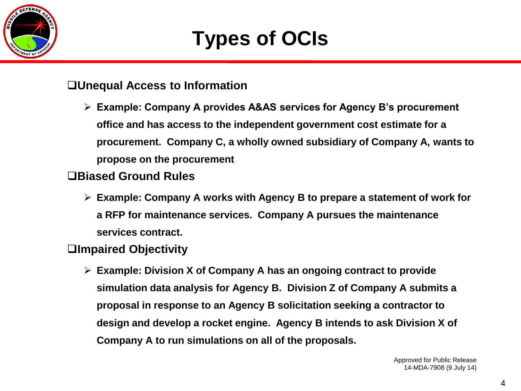

## **Types of OCIs**

#### **Unequal Access to Information**

 **Example: Company A provides A&AS services for Agency B's procurement office and has access to the independent government cost estimate for a procurement. Company C, a wholly owned subsidiary of Company A, wants to propose on the procurement**

#### **Biased Ground Rules**

 **Example: Company A works with Agency B to prepare a statement of work for a RFP for maintenance services. Company A pursues the maintenance services contract.**

#### **Impaired Objectivity**

 **Example: Division X of Company A has an ongoing contract to provide simulation data analysis for Agency B. Division Z of Company A submits a proposal in response to an Agency B solicitation seeking a contractor to design and develop a rocket engine. Agency B intends to ask Division X of Company A to run simulations on all of the proposals.**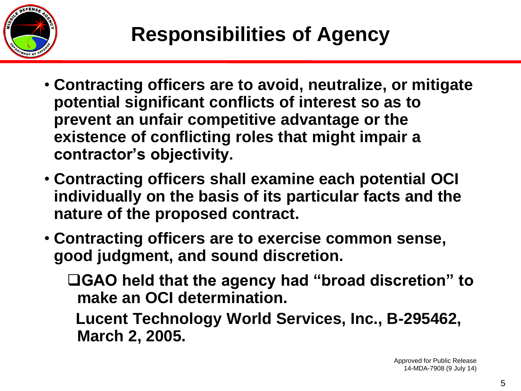

- **Contracting officers are to avoid, neutralize, or mitigate potential significant conflicts of interest so as to prevent an unfair competitive advantage or the existence of conflicting roles that might impair a contractor's objectivity.**
- **Contracting officers shall examine each potential OCI individually on the basis of its particular facts and the nature of the proposed contract.**
- **Contracting officers are to exercise common sense, good judgment, and sound discretion.**
	- **GAO held that the agency had "broad discretion" to make an OCI determination.** 
		- **Lucent Technology World Services, Inc., B-295462, March 2, 2005.**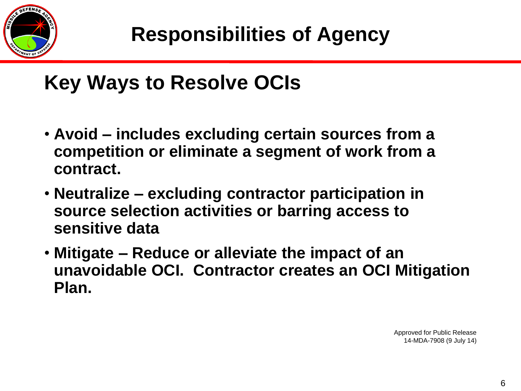

## **Key Ways to Resolve OCIs**

- **Avoid – includes excluding certain sources from a competition or eliminate a segment of work from a contract.**
- **Neutralize – excluding contractor participation in source selection activities or barring access to sensitive data**
- **Mitigate – Reduce or alleviate the impact of an unavoidable OCI. Contractor creates an OCI Mitigation Plan.**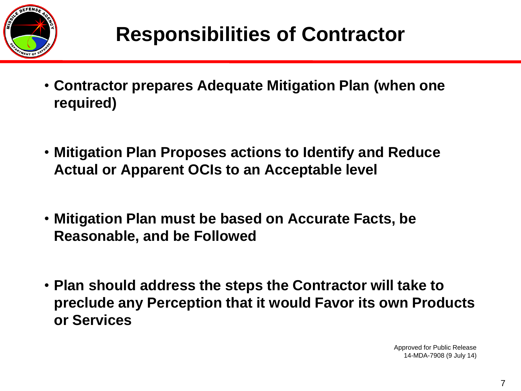

- **Contractor prepares Adequate Mitigation Plan (when one required)**
- **Mitigation Plan Proposes actions to Identify and Reduce Actual or Apparent OCIs to an Acceptable level**
- **Mitigation Plan must be based on Accurate Facts, be Reasonable, and be Followed**
- **Plan should address the steps the Contractor will take to preclude any Perception that it would Favor its own Products or Services**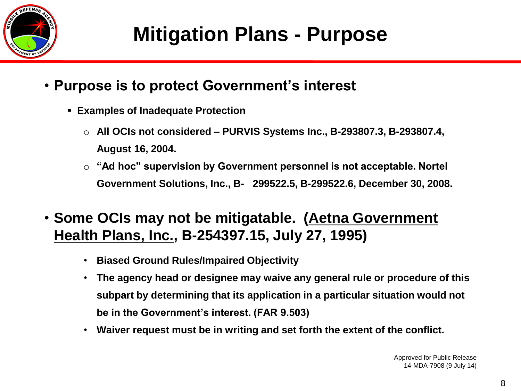

- **Purpose is to protect Government's interest**
	- **Examples of Inadequate Protection**
		- o **All OCIs not considered – PURVIS Systems Inc., B-293807.3, B-293807.4, August 16, 2004.**
		- o **"Ad hoc" supervision by Government personnel is not acceptable. Nortel Government Solutions, Inc., B- 299522.5, B-299522.6, December 30, 2008.**
- **Some OCIs may not be mitigatable. (Aetna Government Health Plans, Inc., B-254397.15, July 27, 1995)**
	- **Biased Ground Rules/Impaired Objectivity**
	- **The agency head or designee may waive any general rule or procedure of this subpart by determining that its application in a particular situation would not be in the Government's interest. (FAR 9.503)**
	- **Waiver request must be in writing and set forth the extent of the conflict.**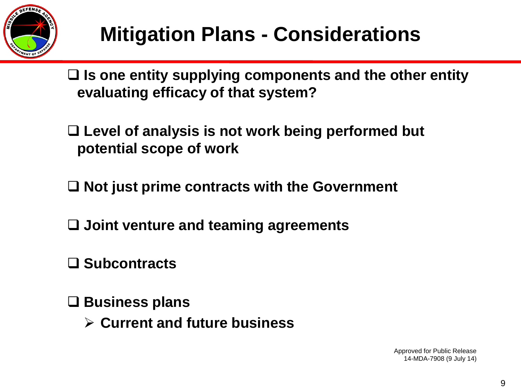

 **Is one entity supplying components and the other entity evaluating efficacy of that system?**

 **Level of analysis is not work being performed but potential scope of work**

**Not just prime contracts with the Government**

**Joint venture and teaming agreements**

**Subcontracts**

**Business plans**

**Current and future business**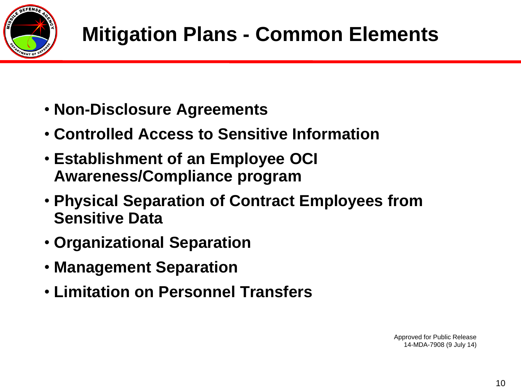

- **Non-Disclosure Agreements**
- **Controlled Access to Sensitive Information**
- **Establishment of an Employee OCI Awareness/Compliance program**
- **Physical Separation of Contract Employees from Sensitive Data**
- **Organizational Separation**
- **Management Separation**
- **Limitation on Personnel Transfers**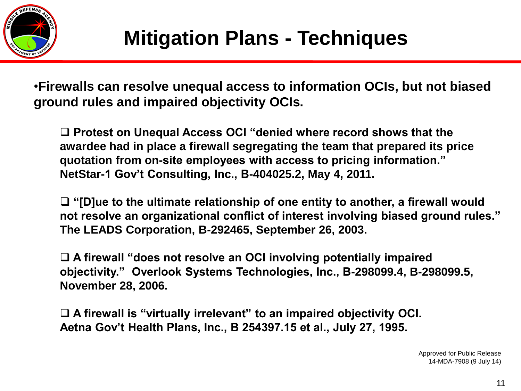

•**Firewalls can resolve unequal access to information OCIs, but not biased ground rules and impaired objectivity OCIs.**

□ Protest on Unequal Access OCI "denied where record shows that the **awardee had in place a firewall segregating the team that prepared its price quotation from on-site employees with access to pricing information." NetStar-1 Gov't Consulting, Inc., B-404025.2, May 4, 2011.**

 **"[D]ue to the ultimate relationship of one entity to another, a firewall would not resolve an organizational conflict of interest involving biased ground rules." The LEADS Corporation, B-292465, September 26, 2003.**

 **A firewall "does not resolve an OCI involving potentially impaired objectivity." Overlook Systems Technologies, Inc., B-298099.4, B-298099.5, November 28, 2006.**

 **A firewall is "virtually irrelevant" to an impaired objectivity OCI. Aetna Gov't Health Plans, Inc., B 254397.15 et al., July 27, 1995.**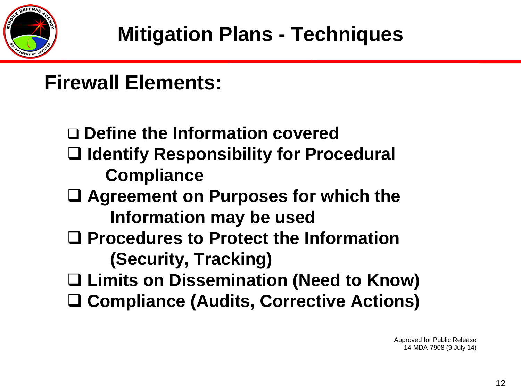

## **Firewall Elements:**

 **Define the Information covered Identify Responsibility for Procedural Compliance Agreement on Purposes for which the Information may be used Procedures to Protect the Information (Security, Tracking) Limits on Dissemination (Need to Know) Compliance (Audits, Corrective Actions)**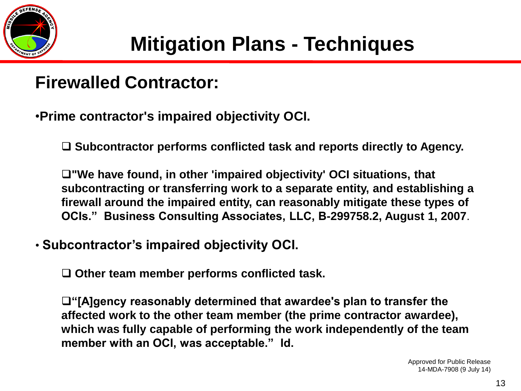

### **Firewalled Contractor:**

•**Prime contractor's impaired objectivity OCI.**

**Subcontractor performs conflicted task and reports directly to Agency.**

**"We have found, in other 'impaired objectivity' OCI situations, that subcontracting or transferring work to a separate entity, and establishing a firewall around the impaired entity, can reasonably mitigate these types of OCIs." Business Consulting Associates, LLC, B-299758.2, August 1, 2007**.

• **Subcontractor's impaired objectivity OCI.**

**Other team member performs conflicted task.**

**"[A]gency reasonably determined that awardee's plan to transfer the affected work to the other team member (the prime contractor awardee), which was fully capable of performing the work independently of the team member with an OCI, was acceptable." Id.**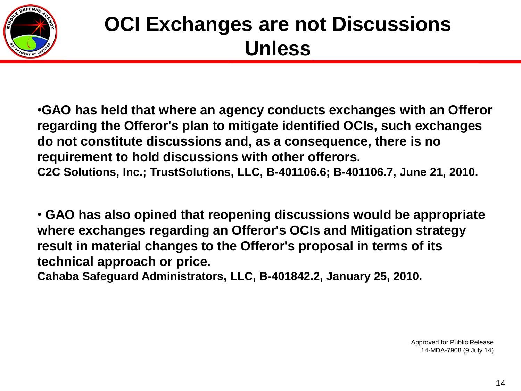

•**GAO has held that where an agency conducts exchanges with an Offeror regarding the Offeror's plan to mitigate identified OCIs, such exchanges do not constitute discussions and, as a consequence, there is no requirement to hold discussions with other offerors. C2C Solutions, Inc.; TrustSolutions, LLC, B-401106.6; B-401106.7, June 21, 2010.**

• **GAO has also opined that reopening discussions would be appropriate where exchanges regarding an Offeror's OCIs and Mitigation strategy result in material changes to the Offeror's proposal in terms of its technical approach or price.** 

**Cahaba Safeguard Administrators, LLC, B-401842.2, January 25, 2010.**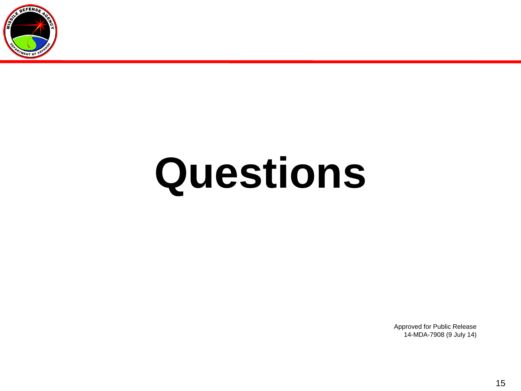

# **Questions**